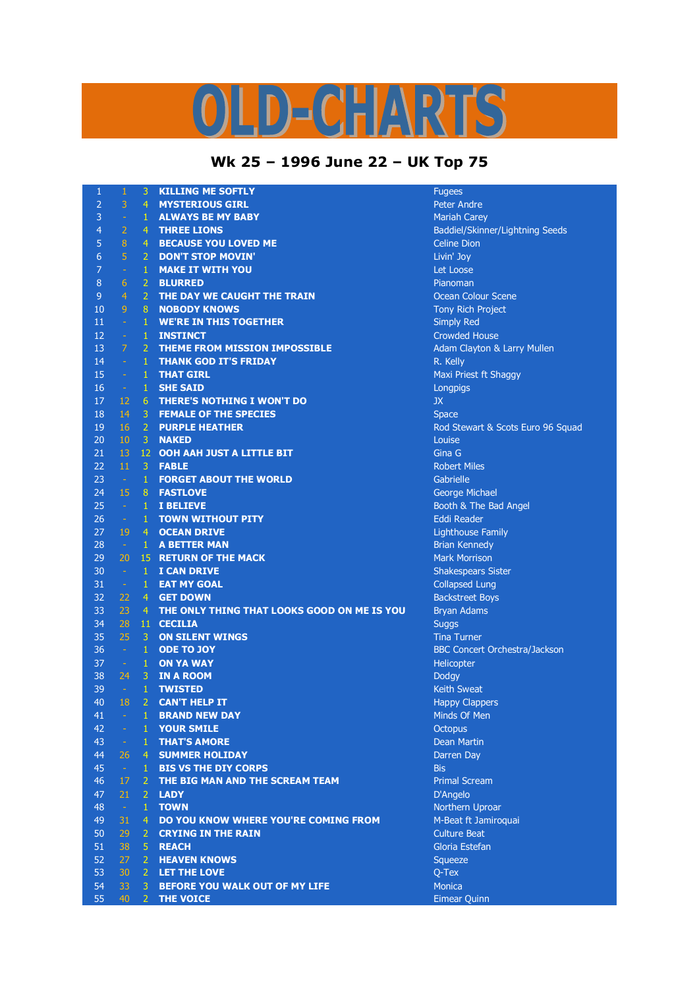## $\mathbf{C}$  -  $\mathbf{A}$  $\mathbf{D}$

## **Wk 25 – 1996 June 22 – UK Top 75**

| $\mathbf{1}$     | $\mathbf{1}$        | 3              | <b>KILLING ME SOFTLY</b>                    | <b>Fugees</b>         |
|------------------|---------------------|----------------|---------------------------------------------|-----------------------|
| $\overline{2}$   | 3                   | 4 <sup>1</sup> | <b>MYSTERIOUS GIRL</b>                      | <b>Peter Andre</b>    |
| 3                | $\omega$            | $\mathbf{1}$   | <b>ALWAYS BE MY BABY</b>                    | Mariah Carey          |
| $\overline{4}$   | $\overline{2}$      | $\overline{4}$ | <b>THREE LIONS</b>                          | <b>Baddiel/Skinne</b> |
| 5                | $\bf 8$             | $\overline{4}$ | <b>BECAUSE YOU LOVED ME</b>                 | Celine Dion           |
| $\boldsymbol{6}$ | $\overline{5}$      | $\overline{2}$ | <b>DON'T STOP MOVIN'</b>                    | Livin' Joy            |
| $\overline{7}$   | $\omega$            | $\mathbf{1}$   | <b>MAKE IT WITH YOU</b>                     | Let Loose             |
| 8                | 6                   | $\overline{2}$ | <b>BLURRED</b>                              | Pianoman              |
| $\overline{9}$   | $\overline{4}$      | $\overline{2}$ | THE DAY WE CAUGHT THE TRAIN                 | Ocean Colour          |
| 10               | 9                   | $\bf 8$        | <b>NOBODY KNOWS</b>                         | <b>Tony Rich Proj</b> |
| 11               | $\omega$            | $\mathbf{1}$   | <b>WE'RE IN THIS TOGETHER</b>               | <b>Simply Red</b>     |
| 12               | $\omega_{\rm c}$    | $\mathbf{1}$   | <b>INSTINCT</b>                             | <b>Crowded Hous</b>   |
| 13               | $\overline{7}$      | $\overline{2}$ | <b>THEME FROM MISSION IMPOSSIBLE</b>        | <b>Adam Clayton</b>   |
| 14               | $\omega_{\rm{eff}}$ | $\mathbf{1}$   | <b>THANK GOD IT'S FRIDAY</b>                | R. Kelly              |
| 15               | $\omega_{\rm c}$    | $\mathbf{1}$   | <b>THAT GIRL</b>                            | Maxi Priest ft 9      |
| 16               | $\sim$              | $\mathbf{1}$   | <b>SHE SAID</b>                             | Longpigs              |
| 17               | 12                  | 6 <sup>1</sup> | <b>THERE'S NOTHING I WON'T DO</b>           | <b>JX</b>             |
| 18               | 14                  | 3              | <b>FEMALE OF THE SPECIES</b>                | <b>Space</b>          |
| 19               | 16                  | $\overline{2}$ | <b>PURPLE HEATHER</b>                       | Rod Stewart &         |
| 20               | 10                  | 3              | <b>NAKED</b>                                | Louise                |
| 21               | 13                  | 12             | <b>OOH AAH JUST A LITTLE BIT</b>            | Gina G                |
|                  | 11                  | 3              | <b>FABLE</b>                                | <b>Robert Miles</b>   |
| 22               |                     |                | <b>FORGET ABOUT THE WORLD</b>               |                       |
| 23               | $\sim$              | $\mathbf{1}$   |                                             | Gabrielle             |
| 24               | 15                  | 8 <sup>°</sup> | <b>FASTLOVE</b>                             | George Michae         |
| 25               | $\sim$              | $1\,$          | I BELIEVE                                   | Booth & The E         |
| 26               | $\sim$              | $\mathbf{1}$   | <b>TOWN WITHOUT PITY</b>                    | <b>Eddi Reader</b>    |
| 27               | 19                  | 4 <sup>1</sup> | <b>OCEAN DRIVE</b>                          | Lighthouse Far        |
| 28               | $\sim$              | $\mathbf{1}$   | <b>A BETTER MAN</b>                         | <b>Brian Kennedy</b>  |
| 29               | 20                  |                | <b>15 RETURN OF THE MACK</b>                | <b>Mark Morrison</b>  |
| 30               | $\sim$              | $\mathbf{1}$   | <b>I CAN DRIVE</b>                          | Shakespears S         |
| 31               | $\sim$              | $\mathbf{1}$   | <b>EAT MY GOAL</b>                          | Collapsed Lung        |
| 32               | 22                  | $\overline{4}$ | <b>GET DOWN</b>                             | <b>Backstreet Boy</b> |
| 33               | 23                  | $\overline{4}$ | THE ONLY THING THAT LOOKS GOOD ON ME IS YOU | <b>Bryan Adams</b>    |
| 34               | 28                  | 11             | <b>CECILIA</b>                              | <b>Suggs</b>          |
| 35               | 25                  | $\overline{3}$ | <b>ON SILENT WINGS</b>                      | <b>Tina Turner</b>    |
| 36               | $\sim$              | $\mathbf{1}$   | <b>ODE TO JOY</b>                           | <b>BBC Concert C</b>  |
| 37               | $\sim$              | $\mathbf{1}$   | <b>ON YA WAY</b>                            | Helicopter            |
| 38               | 24                  | $\overline{3}$ | <b>IN A ROOM</b>                            | Dodgy                 |
| 39               | $\sim 10$           | $\mathbf{1}$   | <b>TWISTED</b>                              | Keith Sweat           |
| 40               | 18                  | $\overline{2}$ | <b>CAN'T HELP IT</b>                        | <b>Happy Clapper</b>  |
| 41               | ÷,                  | $\mathbf{1}$   | <b>BRAND NEW DAY</b>                        | Minds Of Men          |
| 42               | $\omega_{\rm{eff}}$ | $\mathbf{1}$   | <b>YOUR SMILE</b>                           | <b>Octopus</b>        |
| 43               | $\sim$              | $\mathbf{1}$   | <b>THAT'S AMORE</b>                         | Dean Martin           |
| 44               | 26                  | 4 <sup>1</sup> | <b>SUMMER HOLIDAY</b>                       | Darren Day            |
| 45               | $\sim$ $\sim$       | $\mathbf{1}$   | <b>BIS VS THE DIY CORPS</b>                 | <b>Bis</b>            |
| 46               | 17                  | 2 <sup>1</sup> | THE BIG MAN AND THE SCREAM TEAM             | <b>Primal Scream</b>  |
| 47               | 21                  | 2 <sup>1</sup> | <b>LADY</b>                                 | D'Angelo              |
| 48               | $\sim$              | $\mathbf{1}$   | <b>TOWN</b>                                 | Northern Upro         |
| 49               | 31                  | 4              | DO YOU KNOW WHERE YOU'RE COMING FROM        | M-Beat ft Jami        |
| 50               | 29                  | 2              | <b>CRYING IN THE RAIN</b>                   | <b>Culture Beat</b>   |
| 51               | 38                  | 5              | <b>REACH</b>                                | Gloria Estefan        |
| 52               | 27                  | $\overline{2}$ | <b>HEAVEN KNOWS</b>                         | Squeeze               |
| 53               | 30                  | 2 <sup>1</sup> | LET THE LOVE                                | Q-Tex                 |
| 54               | 33                  | 3 <sup>1</sup> | <b>BEFORE YOU WALK OUT OF MY LIFE</b>       | <b>Monica</b>         |
| 55               | 40                  | 2 <sup>1</sup> | <b>THE VOICE</b>                            | Eimear Quinn          |

<sub>iel/Skinner/Lightning Seeds<br>e Dion</sub> n Colour Scene **Rich Project** <sup>1</sup><br>ded House 1 Clayton & Larry Mullen <sub>2</sub><br> Priest ft Shaggy Stewart & Scots Euro 96 Squad <sup>1</sup> Reports Four<br>
<u>Become Michael</u> - 1 **I BELIEVE** Booth & The Bad Angel **house Family** espears Sister **21 - 1 EAT LUNG** street Boys **Concert Orchestra/Jackson** y Clappers nern Uproar at ft Jamiroquai